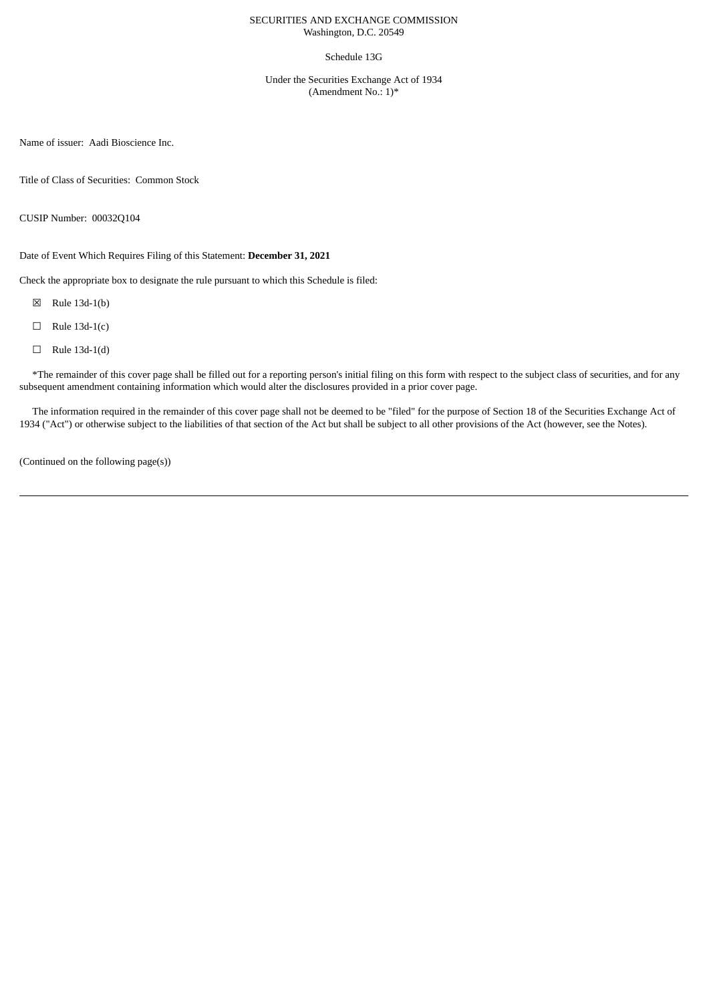# SECURITIES AND EXCHANGE COMMISSION Washington, D.C. 20549

### Schedule 13G

Under the Securities Exchange Act of 1934 (Amendment No.: 1)\*

Name of issuer: Aadi Bioscience Inc.

Title of Class of Securities: Common Stock

CUSIP Number: 00032Q104

Date of Event Which Requires Filing of this Statement: **December 31, 2021**

Check the appropriate box to designate the rule pursuant to which this Schedule is filed:

☒ Rule 13d-1(b)

- $\Box$  Rule 13d-1(c)
- $\Box$  Rule 13d-1(d)

\*The remainder of this cover page shall be filled out for a reporting person's initial filing on this form with respect to the subject class of securities, and for any subsequent amendment containing information which would alter the disclosures provided in a prior cover page.

The information required in the remainder of this cover page shall not be deemed to be "filed" for the purpose of Section 18 of the Securities Exchange Act of 1934 ("Act") or otherwise subject to the liabilities of that section of the Act but shall be subject to all other provisions of the Act (however, see the Notes).

(Continued on the following page(s))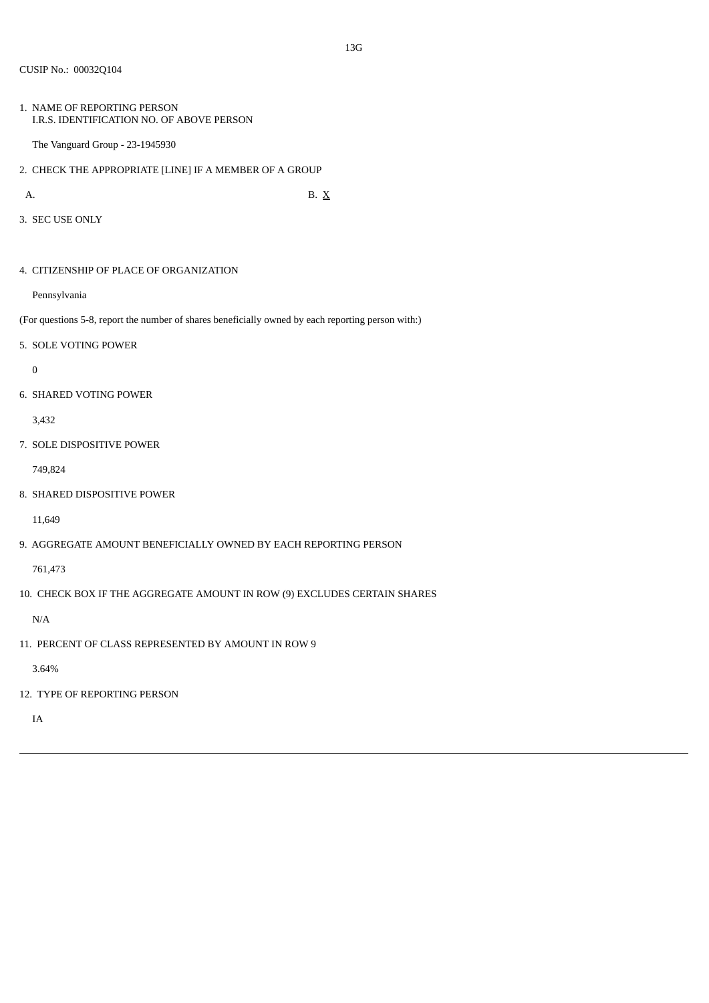1. NAME OF REPORTING PERSON I.R.S. IDENTIFICATION NO. OF ABOVE PERSON

The Vanguard Group - 23-1945930

2. CHECK THE APPROPRIATE [LINE] IF A MEMBER OF A GROUP

A. B.  $X$ 

3. SEC USE ONLY

4. CITIZENSHIP OF PLACE OF ORGANIZATION

Pennsylvania

(For questions 5-8, report the number of shares beneficially owned by each reporting person with:)

5. SOLE VOTING POWER

 $\overline{0}$ 

6. SHARED VOTING POWER

3,432

7. SOLE DISPOSITIVE POWER

749,824

8. SHARED DISPOSITIVE POWER

11,649

9. AGGREGATE AMOUNT BENEFICIALLY OWNED BY EACH REPORTING PERSON

761,473

10. CHECK BOX IF THE AGGREGATE AMOUNT IN ROW (9) EXCLUDES CERTAIN SHARES

N/A

11. PERCENT OF CLASS REPRESENTED BY AMOUNT IN ROW 9

3.64%

12. TYPE OF REPORTING PERSON

IA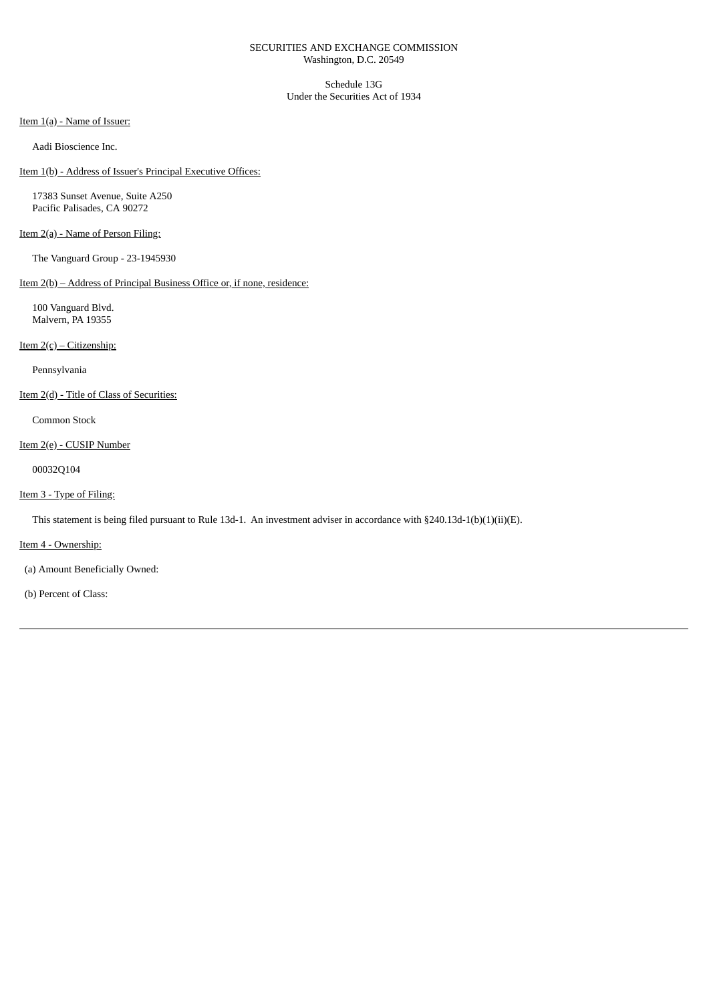# SECURITIES AND EXCHANGE COMMISSION Washington, D.C. 20549

Schedule 13G Under the Securities Act of 1934

Item 1(a) - Name of Issuer:

Aadi Bioscience Inc.

Item 1(b) - Address of Issuer's Principal Executive Offices:

17383 Sunset Avenue, Suite A250 Pacific Palisades, CA 90272

# Item 2(a) - Name of Person Filing:

The Vanguard Group - 23-1945930

# Item 2(b) – Address of Principal Business Office or, if none, residence:

100 Vanguard Blvd. Malvern, PA 19355

Item 2(c) – Citizenship:

Pennsylvania

Item 2(d) - Title of Class of Securities:

Common Stock

# Item 2(e) - CUSIP Number

00032Q104

# Item 3 - Type of Filing:

This statement is being filed pursuant to Rule 13d-1. An investment adviser in accordance with §240.13d-1(b)(1)(ii)(E).

Item 4 - Ownership:

(a) Amount Beneficially Owned:

(b) Percent of Class: